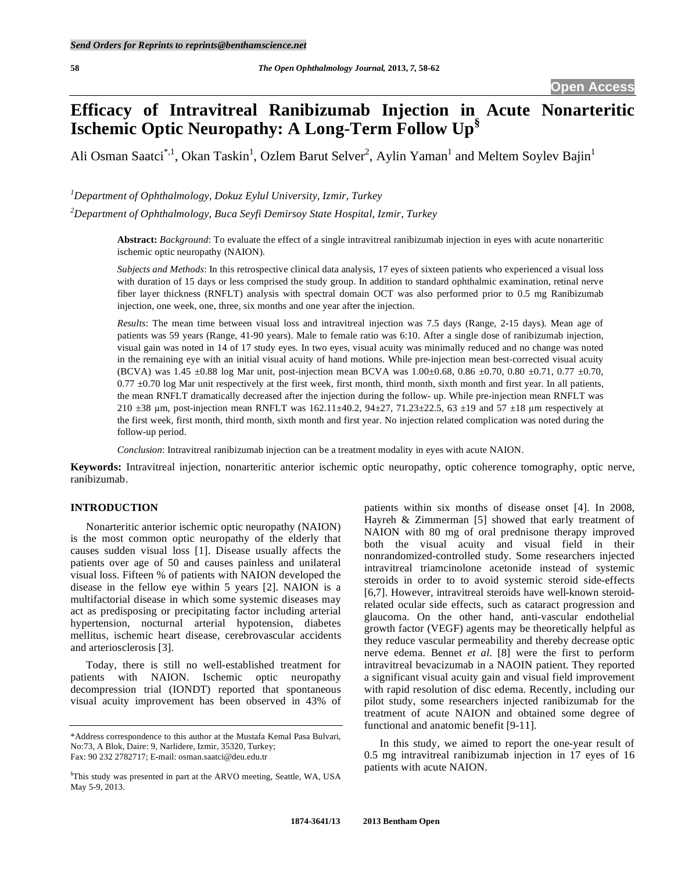# **Efficacy of Intravitreal Ranibizumab Injection in Acute Nonarteritic Ischemic Optic Neuropathy: A Long-Term Follow Up§**

Ali Osman Saatci<sup>\*,1</sup>, Okan Taskin<sup>1</sup>, Ozlem Barut Selver<sup>2</sup>, Aylin Yaman<sup>1</sup> and Meltem Soylev Bajin<sup>1</sup>

*1 Department of Ophthalmology, Dokuz Eylul University, Izmir, Turkey* 

*2 Department of Ophthalmology, Buca Seyfi Demirsoy State Hospital, Izmir, Turkey* 

**Abstract:** *Background*: To evaluate the effect of a single intravitreal ranibizumab injection in eyes with acute nonarteritic ischemic optic neuropathy (NAION).

*Subjects and Methods*: In this retrospective clinical data analysis, 17 eyes of sixteen patients who experienced a visual loss with duration of 15 days or less comprised the study group. In addition to standard ophthalmic examination, retinal nerve fiber layer thickness (RNFLT) analysis with spectral domain OCT was also performed prior to 0.5 mg Ranibizumab injection, one week, one, three, six months and one year after the injection.

*Results*: The mean time between visual loss and intravitreal injection was 7.5 days (Range, 2-15 days). Mean age of patients was 59 years (Range, 41-90 years). Male to female ratio was 6:10. After a single dose of ranibizumab injection, visual gain was noted in 14 of 17 study eyes. In two eyes, visual acuity was minimally reduced and no change was noted in the remaining eye with an initial visual acuity of hand motions. While pre-injection mean best-corrected visual acuity (BCVA) was 1.45 ±0.88 log Mar unit, post-injection mean BCVA was 1.00±0.68, 0.86 ±0.70, 0.80 ±0.71, 0.77 ±0.70,  $0.77 \pm 0.70$  log Mar unit respectively at the first week, first month, third month, sixth month and first year. In all patients, the mean RNFLT dramatically decreased after the injection during the follow- up. While pre-injection mean RNFLT was 210  $\pm$ 38 µm, post-injection mean RNFLT was 162.11 $\pm$ 40.2, 94 $\pm$ 27, 71.23 $\pm$ 22.5, 63  $\pm$ 19 and 57  $\pm$ 18 µm respectively at the first week, first month, third month, sixth month and first year. No injection related complication was noted during the follow-up period.

*Conclusion*: Intravitreal ranibizumab injection can be a treatment modality in eyes with acute NAION.

**Keywords:** Intravitreal injection, nonarteritic anterior ischemic optic neuropathy, optic coherence tomography, optic nerve, ranibizumab.

# **INTRODUCTION**

 Nonarteritic anterior ischemic optic neuropathy (NAION) is the most common optic neuropathy of the elderly that causes sudden visual loss [1]. Disease usually affects the patients over age of 50 and causes painless and unilateral visual loss. Fifteen % of patients with NAION developed the disease in the fellow eye within 5 years [2]. NAION is a multifactorial disease in which some systemic diseases may act as predisposing or precipitating factor including arterial hypertension, nocturnal arterial hypotension, diabetes mellitus, ischemic heart disease, cerebrovascular accidents and arteriosclerosis [3].

 Today, there is still no well-established treatment for patients with NAION. Ischemic optic neuropathy decompression trial (IONDT) reported that spontaneous visual acuity improvement has been observed in 43% of patients within six months of disease onset [4]. In 2008, Hayreh & Zimmerman [5] showed that early treatment of NAION with 80 mg of oral prednisone therapy improved both the visual acuity and visual field in their nonrandomized-controlled study. Some researchers injected intravitreal triamcinolone acetonide instead of systemic steroids in order to to avoid systemic steroid side-effects [6,7]. However, intravitreal steroids have well-known steroidrelated ocular side effects, such as cataract progression and glaucoma. On the other hand, anti-vascular endothelial growth factor (VEGF) agents may be theoretically helpful as they reduce vascular permeability and thereby decrease optic nerve edema. Bennet *et al*. [8] were the first to perform intravitreal bevacizumab in a NAOIN patient. They reported a significant visual acuity gain and visual field improvement with rapid resolution of disc edema. Recently, including our pilot study, some researchers injected ranibizumab for the treatment of acute NAION and obtained some degree of functional and anatomic benefit [9-11].

 In this study, we aimed to report the one-year result of 0.5 mg intravitreal ranibizumab injection in 17 eyes of 16 patients with acute NAION.

<sup>\*</sup>Address correspondence to this author at the Mustafa Kemal Pasa Bulvari, No:73, A Blok, Daire: 9, Narlidere, Izmir, 35320, Turkey; Fax: 90 232 2782717; E-mail: osman.saatci@deu.edu.tr

<sup>§</sup> This study was presented in part at the ARVO meeting, Seattle, WA, USA May 5-9, 2013.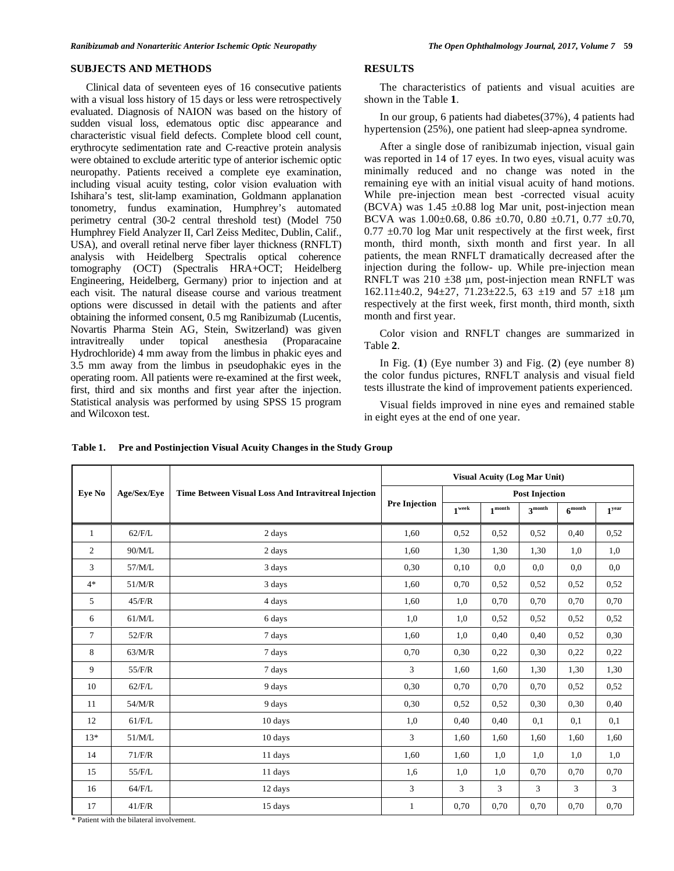#### **SUBJECTS AND METHODS**

 Clinical data of seventeen eyes of 16 consecutive patients with a visual loss history of 15 days or less were retrospectively evaluated. Diagnosis of NAION was based on the history of sudden visual loss, edematous optic disc appearance and characteristic visual field defects. Complete blood cell count, erythrocyte sedimentation rate and C-reactive protein analysis were obtained to exclude arteritic type of anterior ischemic optic neuropathy. Patients received a complete eye examination, including visual acuity testing, color vision evaluation with Ishihara's test, slit-lamp examination, Goldmann applanation tonometry, fundus examination, Humphrey's automated perimetry central (30-2 central threshold test) (Model 750 Humphrey Field Analyzer II, Carl Zeiss Meditec, Dublin, Calif., USA), and overall retinal nerve fiber layer thickness (RNFLT) analysis with Heidelberg Spectralis optical coherence tomography (OCT) (Spectralis HRA+OCT; Heidelberg Engineering, Heidelberg, Germany) prior to injection and at each visit. The natural disease course and various treatment options were discussed in detail with the patients and after obtaining the informed consent, 0.5 mg Ranibizumab (Lucentis, Novartis Pharma Stein AG, Stein, Switzerland) was given intravitreally under topical anesthesia (Proparacaine Hydrochloride) 4 mm away from the limbus in phakic eyes and 3.5 mm away from the limbus in pseudophakic eyes in the operating room. All patients were re-examined at the first week, first, third and six months and first year after the injection. Statistical analysis was performed by using SPSS 15 program and Wilcoxon test.

## **RESULTS**

 The characteristics of patients and visual acuities are shown in the Table **1**.

 In our group, 6 patients had diabetes(37%), 4 patients had hypertension (25%), one patient had sleep-apnea syndrome.

 After a single dose of ranibizumab injection, visual gain was reported in 14 of 17 eyes. In two eyes, visual acuity was minimally reduced and no change was noted in the remaining eye with an initial visual acuity of hand motions. While pre-injection mean best -corrected visual acuity  $(BCVA)$  was 1.45  $\pm 0.88$  log Mar unit, post-injection mean BCVA was  $1.00\pm0.68$ ,  $0.86 \pm 0.70$ ,  $0.80 \pm 0.71$ ,  $0.77 \pm 0.70$ ,  $0.77 \pm 0.70$  log Mar unit respectively at the first week, first month, third month, sixth month and first year. In all patients, the mean RNFLT dramatically decreased after the injection during the follow- up. While pre-injection mean RNFLT was  $210 \pm 38$  µm, post-injection mean RNFLT was  $162.11 \pm 40.2$ ,  $94 \pm 27$ ,  $71.23 \pm 22.5$ ,  $63 \pm 19$  and  $57 \pm 18$  µm respectively at the first week, first month, third month, sixth month and first year.

 Color vision and RNFLT changes are summarized in Table **2**.

 In Fig. (**1**) (Eye number 3) and Fig. (**2**) (eye number 8) the color fundus pictures, RNFLT analysis and visual field tests illustrate the kind of improvement patients experienced.

 Visual fields improved in nine eyes and remained stable in eight eyes at the end of one year.

| Eye No         | Age/Sex/Eve |                                                     | <b>Visual Acuity (Log Mar Unit)</b> |                       |                    |                    |                |                   |  |
|----------------|-------------|-----------------------------------------------------|-------------------------------------|-----------------------|--------------------|--------------------|----------------|-------------------|--|
|                |             | Time Between Visual Loss And Intravitreal Injection | <b>Pre Injection</b>                | <b>Post Injection</b> |                    |                    |                |                   |  |
|                |             |                                                     |                                     | $1^{\text{week}}$     | $1^{\text{month}}$ | $3^{\text{month}}$ | $6^{month}$    | 1 <sup>year</sup> |  |
| $\mathbf{1}$   | $62$ /F/L   | 2 days                                              | 1,60                                | 0,52                  | 0,52               | 0,52               | 0,40           | 0,52              |  |
| $\overline{c}$ | 90/M/L      | 2 days                                              | 1,60                                | 1,30                  | 1,30               | 1,30               | 1,0            | 1,0               |  |
| 3              | 57/M/L      | 3 days                                              | 0,30                                | 0,10                  | 0.0                | 0.0                | 0.0            | 0,0               |  |
| $4*$           | 51/M/R      | 3 days                                              | 1,60                                | 0,70                  | 0,52               | 0,52               | 0,52           | 0,52              |  |
| 5              | 45/F/R      | 4 days                                              | 1,60                                | 1,0                   | 0,70               | 0,70               | 0,70           | 0,70              |  |
| 6              | 61/M/L      | 6 days                                              | 1,0                                 | 1,0                   | 0,52               | 0,52               | 0,52           | 0,52              |  |
| $\tau$         | 52/F/R      | 7 days                                              | 1,60                                | 1,0                   | 0,40               | 0,40               | 0,52           | 0,30              |  |
| 8              | 63/M/R      | 7 days                                              | 0,70                                | 0,30                  | 0,22               | 0,30               | 0,22           | 0,22              |  |
| 9              | 55/F/R      | 7 days                                              | 3                                   | 1,60                  | 1,60               | 1,30               | 1,30           | 1,30              |  |
| 10             | $62$ /F/L   | 9 days                                              | 0,30                                | 0,70                  | 0,70               | 0,70               | 0,52           | 0,52              |  |
| 11             | 54/M/R      | 9 days                                              | 0,30                                | 0,52                  | 0,52               | 0,30               | 0,30           | 0,40              |  |
| 12             | $61$ /F/L   | 10 days                                             | 1,0                                 | 0,40                  | 0,40               | 0,1                | 0,1            | 0,1               |  |
| $13*$          | 51/M/L      | 10 days                                             | 3                                   | 1,60                  | 1,60               | 1,60               | 1,60           | 1,60              |  |
| 14             | 71/F/R      | 11 days                                             | 1,60                                | 1,60                  | 1,0                | 1,0                | 1,0            | 1,0               |  |
| 15             | 55/F/L      | 11 days                                             | 1,6                                 | 1,0                   | 1,0                | 0,70               | 0,70           | 0,70              |  |
| 16             | $64$ /F/L   | 12 days                                             | $\overline{3}$                      | 3                     | $\overline{3}$     | 3                  | $\overline{3}$ | 3                 |  |
| 17             | 41/F/R      | 15 days                                             | $\mathbf{1}$                        | 0,70                  | 0,70               | 0,70               | 0,70           | 0,70              |  |

**Table 1. Pre and Postinjection Visual Acuity Changes in the Study Group** 

\* Patient with the bilateral involvement.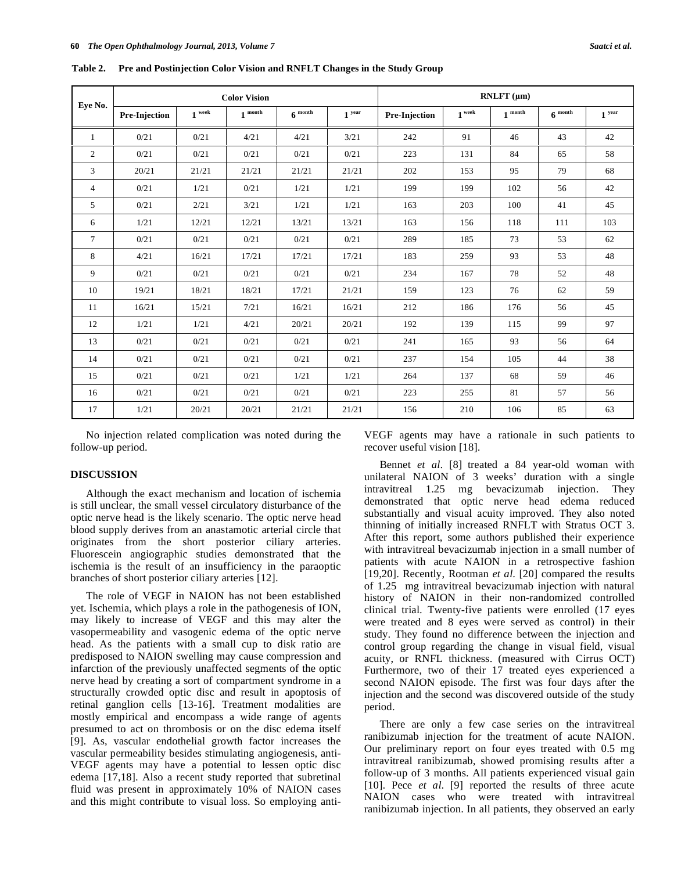| Eye No.        | <b>Color Vision</b> |           |       |             |                   | $RNLFT(\mu m)$ |          |       |             |                   |  |
|----------------|---------------------|-----------|-------|-------------|-------------------|----------------|----------|-------|-------------|-------------------|--|
|                | Pre-Injection       | week<br>1 | month | $6^{$ month | 1 <sup>year</sup> | Pre-Injection  | $1$ week | month | $6^{month}$ | 1 <sup>year</sup> |  |
| 1              | 0/21                | 0/21      | 4/21  | 4/21        | 3/21              | 242            | 91       | 46    | 43          | 42                |  |
| $\overline{2}$ | 0/21                | 0/21      | 0/21  | 0/21        | 0/21              | 223            | 131      | 84    | 65          | 58                |  |
| 3              | 20/21               | 21/21     | 21/21 | 21/21       | 21/21             | 202            | 153      | 95    | 79          | 68                |  |
| $\overline{4}$ | 0/21                | 1/21      | 0/21  | 1/21        | 1/21              | 199            | 199      | 102   | 56          | 42                |  |
| 5              | 0/21                | 2/21      | 3/21  | 1/21        | 1/21              | 163            | 203      | 100   | 41          | 45                |  |
| 6              | 1/21                | 12/21     | 12/21 | 13/21       | 13/21             | 163            | 156      | 118   | 111         | 103               |  |
| $\tau$         | 0/21                | 0/21      | 0/21  | 0/21        | 0/21              | 289            | 185      | 73    | 53          | 62                |  |
| 8              | 4/21                | 16/21     | 17/21 | 17/21       | 17/21             | 183            | 259      | 93    | 53          | 48                |  |
| 9              | 0/21                | 0/21      | 0/21  | 0/21        | 0/21              | 234            | 167      | 78    | 52          | 48                |  |
| 10             | 19/21               | 18/21     | 18/21 | 17/21       | 21/21             | 159            | 123      | 76    | 62          | 59                |  |
| 11             | 16/21               | 15/21     | 7/21  | 16/21       | 16/21             | 212            | 186      | 176   | 56          | 45                |  |
| 12             | 1/21                | 1/21      | 4/21  | 20/21       | 20/21             | 192            | 139      | 115   | 99          | 97                |  |
| 13             | 0/21                | 0/21      | 0/21  | 0/21        | 0/21              | 241            | 165      | 93    | 56          | 64                |  |
| 14             | 0/21                | 0/21      | 0/21  | 0/21        | 0/21              | 237            | 154      | 105   | 44          | 38                |  |
| 15             | 0/21                | 0/21      | 0/21  | 1/21        | 1/21              | 264            | 137      | 68    | 59          | 46                |  |
| 16             | 0/21                | 0/21      | 0/21  | 0/21        | 0/21              | 223            | 255      | 81    | 57          | 56                |  |
| 17             | 1/21                | 20/21     | 20/21 | 21/21       | 21/21             | 156            | 210      | 106   | 85          | 63                |  |

**Table 2. Pre and Postinjection Color Vision and RNFLT Changes in the Study Group** 

 No injection related complication was noted during the follow-up period.

#### **DISCUSSION**

 Although the exact mechanism and location of ischemia is still unclear, the small vessel circulatory disturbance of the optic nerve head is the likely scenario. The optic nerve head blood supply derives from an anastamotic arterial circle that originates from the short posterior ciliary arteries. Fluorescein angiographic studies demonstrated that the ischemia is the result of an insufficiency in the paraoptic branches of short posterior ciliary arteries [12].

 The role of VEGF in NAION has not been established yet. Ischemia, which plays a role in the pathogenesis of ION, may likely to increase of VEGF and this may alter the vasopermeability and vasogenic edema of the optic nerve head. As the patients with a small cup to disk ratio are predisposed to NAION swelling may cause compression and infarction of the previously unaffected segments of the optic nerve head by creating a sort of compartment syndrome in a structurally crowded optic disc and result in apoptosis of retinal ganglion cells [13-16]. Treatment modalities are mostly empirical and encompass a wide range of agents presumed to act on thrombosis or on the disc edema itself [9]. As, vascular endothelial growth factor increases the vascular permeability besides stimulating angiogenesis, anti-VEGF agents may have a potential to lessen optic disc edema [17,18]. Also a recent study reported that subretinal fluid was present in approximately 10% of NAION cases and this might contribute to visual loss. So employing antiVEGF agents may have a rationale in such patients to recover useful vision [18].

 Bennet *et al*. [8] treated a 84 year-old woman with unilateral NAION of 3 weeks' duration with a single intravitreal 1.25 mg bevacizumab injection. They demonstrated that optic nerve head edema reduced substantially and visual acuity improved. They also noted thinning of initially increased RNFLT with Stratus OCT 3. After this report, some authors published their experience with intravitreal bevacizumab injection in a small number of patients with acute NAION in a retrospective fashion [19,20]. Recently, Rootman *et al*. [20] compared the results of 1.25 mg intravitreal bevacizumab injection with natural history of NAION in their non-randomized controlled clinical trial. Twenty-five patients were enrolled (17 eyes were treated and 8 eyes were served as control) in their study. They found no difference between the injection and control group regarding the change in visual field, visual acuity, or RNFL thickness. (measured with Cirrus OCT) Furthermore, two of their 17 treated eyes experienced a second NAION episode. The first was four days after the injection and the second was discovered outside of the study period.

 There are only a few case series on the intravitreal ranibizumab injection for the treatment of acute NAION. Our preliminary report on four eyes treated with 0.5 mg intravitreal ranibizumab, showed promising results after a follow-up of 3 months. All patients experienced visual gain [10]. Pece *et al*. [9] reported the results of three acute NAION cases who were treated with intravitreal ranibizumab injection. In all patients, they observed an early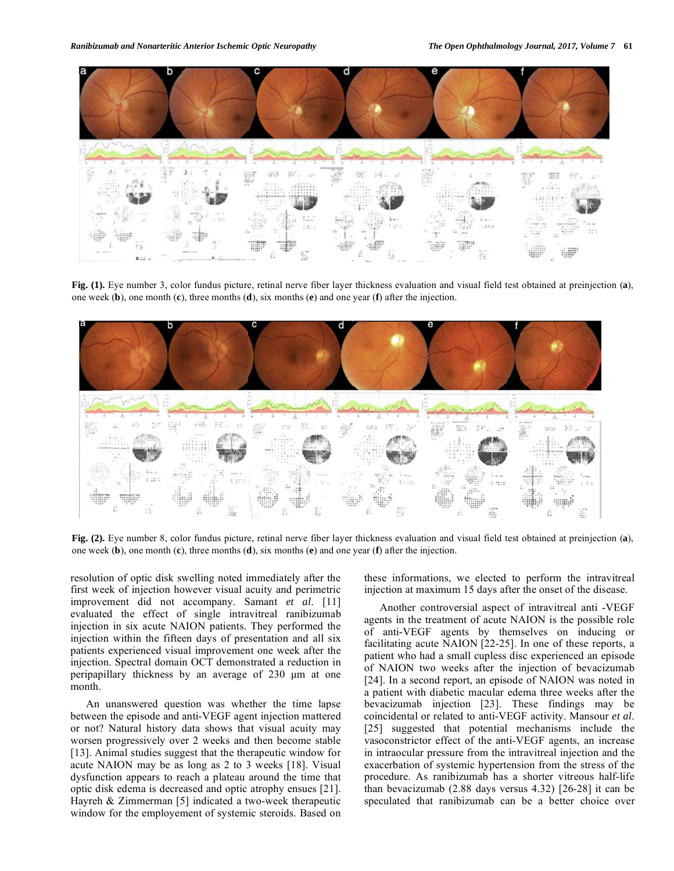

**Fig. (1).** Eye number 3, color fundus picture, retinal nerve fiber layer thickness evaluation and visual field test obtained at preinjection (**a**), one week (**b**), one month (**c**), three months (**d**), six months (**e**) and one year (**f**) after the injection.



**Fig. (2).** Eye number 8, color fundus picture, retinal nerve fiber layer thickness evaluation and visual field test obtained at preinjection (**a**), one week (**b**), one month (**c**), three months (**d**), six months (**e**) and one year (**f**) after the injection.

resolution of optic disk swelling noted immediately after the first week of injection however visual acuity and perimetric improvement did not accompany. Samant *et al*. [11] evaluated the effect of single intravitreal ranibizumab injection in six acute NAION patients. They performed the injection within the fifteen days of presentation and all six patients experienced visual improvement one week after the injection. Spectral domain OCT demonstrated a reduction in peripapillary thickness by an average of 230 μm at one month.

 An unanswered question was whether the time lapse between the episode and anti-VEGF agent injection mattered or not? Natural history data shows that visual acuity may worsen progressively over 2 weeks and then become stable [13]. Animal studies suggest that the therapeutic window for acute NAION may be as long as 2 to 3 weeks [18]. Visual dysfunction appears to reach a plateau around the time that optic disk edema is decreased and optic atrophy ensues [21]. Hayreh & Zimmerman [5] indicated a two-week therapeutic window for the employement of systemic steroids. Based on

these informations, we elected to perform the intravitreal injection at maximum 15 days after the onset of the disease.

 Another controversial aspect of intravitreal anti -VEGF agents in the treatment of acute NAION is the possible role of anti-VEGF agents by themselves on inducing or facilitating acute NAION [22-25]. In one of these reports, a patient who had a small cupless disc experienced an episode of NAION two weeks after the injection of bevacizumab [24]. In a second report, an episode of NAION was noted in a patient with diabetic macular edema three weeks after the bevacizumab injection [23]. These findings may be coincidental or related to anti-VEGF activity. Mansour *et al*. [25] suggested that potential mechanisms include the vasoconstrictor effect of the anti-VEGF agents, an increase in intraocular pressure from the intravitreal injection and the exacerbation of systemic hypertension from the stress of the procedure. As ranibizumab has a shorter vitreous half-life than bevacizumab (2.88 days versus 4.32) [26-28] it can be speculated that ranibizumab can be a better choice over